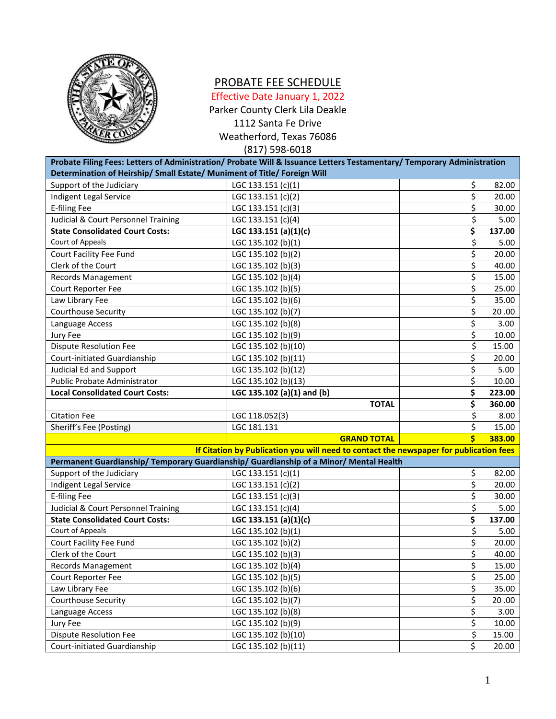

## PROBATE FEE SCHEDULE

Effective Date January 1, 2022

Parker County Clerk Lila Deakle

1112 Santa Fe Drive

Weatherford, Texas 76086

(817) 598-6018

| Probate Filing Fees: Letters of Administration/ Probate Will & Issuance Letters Testamentary/ Temporary Administration |                                                                                        |    |        |  |  |  |  |
|------------------------------------------------------------------------------------------------------------------------|----------------------------------------------------------------------------------------|----|--------|--|--|--|--|
| Determination of Heirship/ Small Estate/ Muniment of Title/ Foreign Will                                               |                                                                                        |    |        |  |  |  |  |
| Support of the Judiciary                                                                                               | LGC 133.151 (c)(1)                                                                     | \$ | 82.00  |  |  |  |  |
| Indigent Legal Service                                                                                                 | LGC 133.151 (c)(2)                                                                     | \$ | 20.00  |  |  |  |  |
| <b>E-filing Fee</b>                                                                                                    | LGC 133.151 (c)(3)                                                                     | \$ | 30.00  |  |  |  |  |
| Judicial & Court Personnel Training                                                                                    | LGC 133.151 (c)(4)                                                                     | \$ | 5.00   |  |  |  |  |
| <b>State Consolidated Court Costs:</b>                                                                                 | LGC 133.151 (a)(1)(c)                                                                  | \$ | 137.00 |  |  |  |  |
| Court of Appeals                                                                                                       | LGC 135.102 (b)(1)                                                                     | \$ | 5.00   |  |  |  |  |
| Court Facility Fee Fund                                                                                                | LGC 135.102 (b)(2)                                                                     | \$ | 20.00  |  |  |  |  |
| Clerk of the Court                                                                                                     | LGC 135.102 (b)(3)                                                                     | \$ | 40.00  |  |  |  |  |
| <b>Records Management</b>                                                                                              | LGC 135.102 (b)(4)                                                                     | \$ | 15.00  |  |  |  |  |
| Court Reporter Fee                                                                                                     | LGC 135.102 (b)(5)                                                                     | \$ | 25.00  |  |  |  |  |
| Law Library Fee                                                                                                        | LGC 135.102 (b)(6)                                                                     | \$ | 35.00  |  |  |  |  |
| Courthouse Security                                                                                                    | LGC 135.102 (b)(7)                                                                     | \$ | 20.00  |  |  |  |  |
| Language Access                                                                                                        | LGC 135.102 (b)(8)                                                                     | \$ | 3.00   |  |  |  |  |
| Jury Fee                                                                                                               | LGC 135.102 (b)(9)                                                                     | \$ | 10.00  |  |  |  |  |
| <b>Dispute Resolution Fee</b>                                                                                          | LGC 135.102 (b)(10)                                                                    | \$ | 15.00  |  |  |  |  |
| Court-initiated Guardianship                                                                                           | LGC 135.102 (b)(11)                                                                    | \$ | 20.00  |  |  |  |  |
| Judicial Ed and Support                                                                                                | LGC 135.102 (b)(12)                                                                    | \$ | 5.00   |  |  |  |  |
| Public Probate Administrator                                                                                           | LGC 135.102 (b)(13)                                                                    | \$ | 10.00  |  |  |  |  |
| <b>Local Consolidated Court Costs:</b>                                                                                 | LGC 135.102 (a)(1) and (b)                                                             | \$ | 223.00 |  |  |  |  |
|                                                                                                                        | <b>TOTAL</b>                                                                           | \$ | 360.00 |  |  |  |  |
| <b>Citation Fee</b>                                                                                                    | LGC 118.052(3)                                                                         | \$ | 8.00   |  |  |  |  |
| Sheriff's Fee (Posting)                                                                                                | LGC 181.131                                                                            | \$ | 15.00  |  |  |  |  |
|                                                                                                                        | <b>GRAND TOTAL</b>                                                                     | Ś  | 383.00 |  |  |  |  |
|                                                                                                                        | If Citation by Publication you will need to contact the newspaper for publication fees |    |        |  |  |  |  |
|                                                                                                                        | Permanent Guardianship/ Temporary Guardianship/ Guardianship of a Minor/ Mental Health |    |        |  |  |  |  |
| Support of the Judiciary                                                                                               | LGC 133.151 (c)(1)                                                                     | \$ | 82.00  |  |  |  |  |
| Indigent Legal Service                                                                                                 | LGC 133.151 (c)(2)                                                                     | \$ | 20.00  |  |  |  |  |
| <b>E-filing Fee</b>                                                                                                    | LGC 133.151 (c)(3)                                                                     | \$ | 30.00  |  |  |  |  |
| Judicial & Court Personnel Training                                                                                    | LGC 133.151 (c)(4)                                                                     | \$ | 5.00   |  |  |  |  |
| <b>State Consolidated Court Costs:</b>                                                                                 | LGC 133.151 (a)(1)(c)                                                                  | \$ | 137.00 |  |  |  |  |
| Court of Appeals                                                                                                       | LGC 135.102 (b)(1)                                                                     | \$ | 5.00   |  |  |  |  |
| Court Facility Fee Fund                                                                                                | LGC 135.102 (b)(2)                                                                     | \$ | 20.00  |  |  |  |  |
| Clerk of the Court                                                                                                     | LGC 135.102 (b)(3)                                                                     | \$ | 40.00  |  |  |  |  |
| Records Management                                                                                                     | LGC 135.102 (b)(4)                                                                     | \$ | 15.00  |  |  |  |  |
| Court Reporter Fee                                                                                                     | LGC 135.102 (b)(5)                                                                     | \$ | 25.00  |  |  |  |  |
| Law Library Fee                                                                                                        | LGC 135.102 (b)(6)                                                                     | \$ | 35.00  |  |  |  |  |
| Courthouse Security                                                                                                    | LGC 135.102 (b)(7)                                                                     | \$ | 20.00  |  |  |  |  |
| Language Access                                                                                                        | LGC 135.102 (b)(8)                                                                     | \$ | 3.00   |  |  |  |  |
| Jury Fee                                                                                                               | LGC 135.102 (b)(9)                                                                     | \$ | 10.00  |  |  |  |  |
| <b>Dispute Resolution Fee</b>                                                                                          | LGC 135.102 (b)(10)                                                                    | \$ | 15.00  |  |  |  |  |
| Court-initiated Guardianship                                                                                           | LGC 135.102 (b)(11)                                                                    | \$ | 20.00  |  |  |  |  |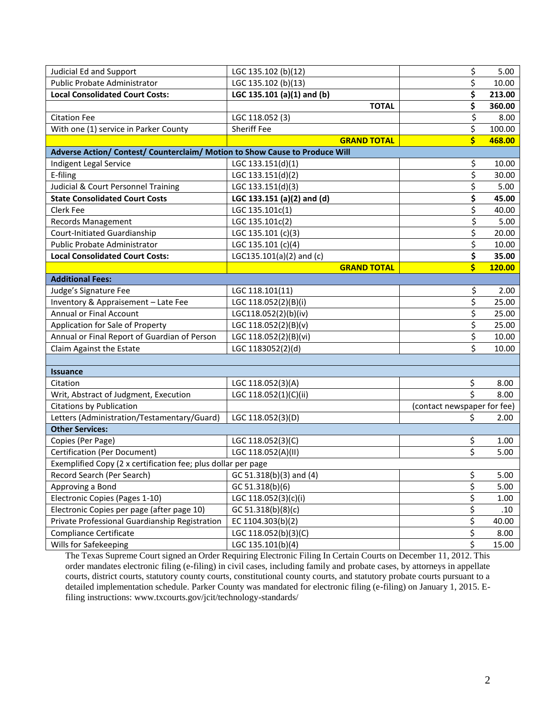| <b>Judicial Ed and Support</b>                                              | LGC 135.102 (b)(12)        |                    | \$                          | 5.00   |
|-----------------------------------------------------------------------------|----------------------------|--------------------|-----------------------------|--------|
| Public Probate Administrator                                                | LGC 135.102 (b)(13)        |                    | \$                          | 10.00  |
| <b>Local Consolidated Court Costs:</b>                                      | LGC 135.101 (a)(1) and (b) |                    | \$                          | 213.00 |
|                                                                             |                            | <b>TOTAL</b>       | \$                          | 360.00 |
| <b>Citation Fee</b>                                                         | LGC 118.052 (3)            |                    | \$                          | 8.00   |
| With one (1) service in Parker County                                       | <b>Sheriff Fee</b>         |                    | \$                          | 100.00 |
|                                                                             |                            | <b>GRAND TOTAL</b> | \$                          | 468.00 |
| Adverse Action/ Contest/ Counterclaim/ Motion to Show Cause to Produce Will |                            |                    |                             |        |
| Indigent Legal Service                                                      | LGC 133.151(d)(1)          |                    | \$                          | 10.00  |
| E-filing                                                                    | LGC 133.151(d)(2)          |                    | \$                          | 30.00  |
| Judicial & Court Personnel Training                                         | LGC 133.151(d)(3)          |                    | \$                          | 5.00   |
| <b>State Consolidated Court Costs</b>                                       | LGC 133.151 (a)(2) and (d) |                    | \$                          | 45.00  |
| Clerk Fee                                                                   | LGC 135.101c(1)            |                    | \$                          | 40.00  |
| Records Management                                                          | LGC 135.101c(2)            |                    | \$                          | 5.00   |
| Court-Initiated Guardianship                                                | LGC 135.101 (c)(3)         |                    | \$                          | 20.00  |
| <b>Public Probate Administrator</b>                                         | LGC 135.101 (c)(4)         |                    | \$                          | 10.00  |
| <b>Local Consolidated Court Costs:</b>                                      | LGC135.101(a)(2) and (c)   |                    | \$                          | 35.00  |
|                                                                             |                            | <b>GRAND TOTAL</b> | Ś                           | 120.00 |
| <b>Additional Fees:</b>                                                     |                            |                    |                             |        |
| Judge's Signature Fee                                                       | LGC 118.101(11)            |                    | \$                          | 2.00   |
| Inventory & Appraisement - Late Fee                                         | LGC 118.052(2)(B)(i)       |                    | \$                          | 25.00  |
| <b>Annual or Final Account</b>                                              | LGC118.052(2)(b)(iv)       |                    | \$                          | 25.00  |
| Application for Sale of Property                                            | LGC 118.052(2)(B)(v)       |                    | \$                          | 25.00  |
| Annual or Final Report of Guardian of Person                                | LGC 118.052(2)(B)(vi)      |                    | \$                          | 10.00  |
| Claim Against the Estate                                                    | LGC 1183052(2)(d)          |                    | \$                          | 10.00  |
|                                                                             |                            |                    |                             |        |
| <b>Issuance</b>                                                             |                            |                    |                             |        |
| Citation                                                                    | LGC 118.052(3)(A)          |                    | \$                          | 8.00   |
| Writ, Abstract of Judgment, Execution                                       | LGC 118.052(1)(C)(ii)      |                    | \$                          | 8.00   |
| <b>Citations by Publication</b>                                             |                            |                    | (contact newspaper for fee) |        |
| Letters (Administration/Testamentary/Guard)                                 | LGC 118.052(3)(D)          |                    | Ś                           | 2.00   |
| <b>Other Services:</b>                                                      |                            |                    |                             |        |
| Copies (Per Page)                                                           | LGC 118.052(3)(C)          |                    | \$                          | 1.00   |
| Certification (Per Document)                                                | LGC 118.052(A)(II)         |                    | \$                          | 5.00   |
| Exemplified Copy (2 x certification fee; plus dollar per page               |                            |                    |                             |        |
| Record Search (Per Search)                                                  | GC 51.318(b)(3) and (4)    |                    | \$                          | 5.00   |
| Approving a Bond                                                            | GC 51.318(b)(6)            |                    | \$                          | 5.00   |
| Electronic Copies (Pages 1-10)                                              | LGC 118.052(3)(c)(i)       |                    | \$                          | 1.00   |
| Electronic Copies per page (after page 10)                                  | GC 51.318(b)(8)(c)         |                    | \$                          | .10    |
| Private Professional Guardianship Registration                              | EC 1104.303(b)(2)          |                    | \$                          | 40.00  |
| Compliance Certificate                                                      | LGC 118.052(b)(3)(C)       |                    | \$                          | 8.00   |
| Wills for Safekeeping                                                       | LGC 135.101(b)(4)          |                    | \$                          | 15.00  |

The Texas Supreme Court signed an Order Requiring Electronic Filing In Certain Courts on December 11, 2012. This order mandates electronic filing (e-filing) in civil cases, including family and probate cases, by attorneys in appellate courts, district courts, statutory county courts, constitutional county courts, and statutory probate courts pursuant to a detailed implementation schedule. Parker County was mandated for electronic filing (e-filing) on January 1, 2015. Efiling instructions: www.txcourts.gov/jcit/technology-standards/